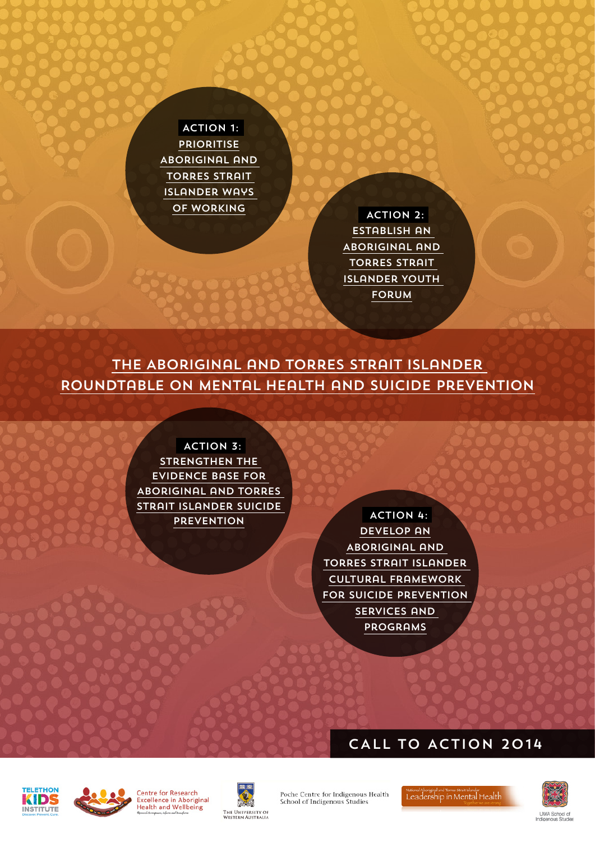ACTION 1: **PRIORITISE** Aboriginal and Torres Strait Islander Ways OF WORKING ACTION 2:

Establish an Aboriginal and Torres Strait Islander Youth **FORUM** 

The Aboriginal and Torres Strait Islander Roundtable on Mental Health and Suicide Prevention

> ACTION 3: STRENGTHEN THE evidence base for Aboriginal and Torres Strait Islander suicide

**PREVENTION 4:** develop an Aboriginal and Torres Strait Islander Cultural Framework for suicide prevention services and programs

## CALL TO ACTION 2014









Poche Centre for Indigenous Health School of Indigenous Studies

National Abongspit and Torres Strat Islander